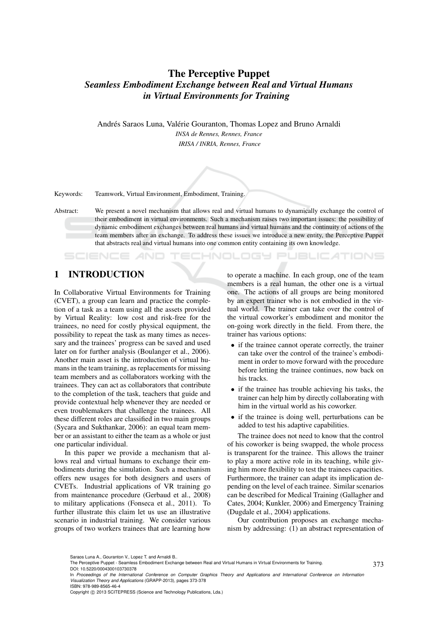# The Perceptive Puppet *Seamless Embodiment Exchange between Real and Virtual Humans in Virtual Environments for Training*

Andrés Saraos Luna, Valérie Gouranton, Thomas Lopez and Bruno Arnaldi *INSA de Rennes, Rennes, France IRISA / INRIA, Rennes, France*

Keywords: Teamwork, Virtual Environment, Embodiment, Training.

Abstract: We present a novel mechanism that allows real and virtual humans to dynamically exchange the control of their embodiment in virtual environments. Such a mechanism raises two important issues: the possibility of dynamic embodiment exchanges between real humans and virtual humans and the continuity of actions of the team members after an exchange. To address these issues we introduce a new entity, the Perceptive Puppet that abstracts real and virtual humans into one common entity containing its own knowledge.

## 1 INTRODUCTION

**SCIENCE AND** 

In Collaborative Virtual Environments for Training (CVET), a group can learn and practice the completion of a task as a team using all the assets provided by Virtual Reality: low cost and risk-free for the trainees, no need for costly physical equipment, the possibility to repeat the task as many times as necessary and the trainees' progress can be saved and used later on for further analysis (Boulanger et al., 2006). Another main asset is the introduction of virtual humans in the team training, as replacements for missing team members and as collaborators working with the trainees. They can act as collaborators that contribute to the completion of the task, teachers that guide and provide contextual help whenever they are needed or even troublemakers that challenge the trainees. All these different roles are classified in two main groups (Sycara and Sukthankar, 2006): an equal team member or an assistant to either the team as a whole or just one particular individual.

In this paper we provide a mechanism that allows real and virtual humans to exchange their embodiments during the simulation. Such a mechanism offers new usages for both designers and users of CVETs. Industrial applications of VR training go from maintenance procedure (Gerbaud et al., 2008) to military applications (Fonseca et al., 2011). To further illustrate this claim let us use an illustrative scenario in industrial training. We consider various groups of two workers trainees that are learning how

to operate a machine. In each group, one of the team members is a real human, the other one is a virtual one. The actions of all groups are being monitored by an expert trainer who is not embodied in the virtual world. The trainer can take over the control of the virtual coworker's embodiment and monitor the on-going work directly in the field. From there, the trainer has various options:

**ECHNOLOGY PUBLICATIONS** 

- if the trainee cannot operate correctly, the trainer can take over the control of the trainee's embodiment in order to move forward with the procedure before letting the trainee continues, now back on his tracks.
- if the trainee has trouble achieving his tasks, the trainer can help him by directly collaborating with him in the virtual world as his coworker.
- if the trainee is doing well, perturbations can be added to test his adaptive capabilities.

The trainee does not need to know that the control of his coworker is being swapped, the whole process is transparent for the trainee. This allows the trainer to play a more active role in its teaching, while giving him more flexibility to test the trainees capacities. Furthermore, the trainer can adapt its implication depending on the level of each trainee. Similar scenarios can be described for Medical Training (Gallagher and Cates, 2004; Kunkler, 2006) and Emergency Training (Dugdale et al., 2004) applications.

Our contribution proposes an exchange mechanism by addressing: (1) an abstract representation of

Saraos Luna A., Gouranton V., Lopez T. and Arnaldi B..

Copyright (C) 2013 SCITEPRESS (Science and Technology Publications, Lda.)

The Perceptive Puppet - Seamless Embodiment Exchange between Real and Virtual Humans in Virtual Environments for Training. DOI: 10.5220/0004300103730378

In *Proceedings of the International Conference on Computer Graphics Theory and Applications and International Conference on Information Visualization Theory and Applications* (GRAPP-2013), pages 373-378 ISBN: 978-989-8565-46-4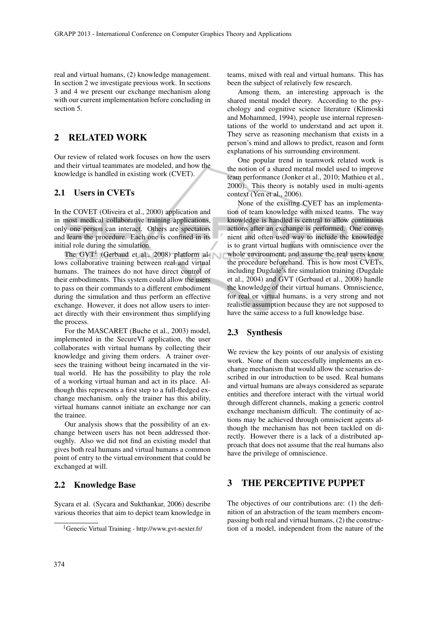real and virtual humans, (2) knowledge management. In section 2 we investigate previous work. In sections 3 and 4 we present our exchange mechanism along with our current implementation before concluding in section 5.

## 2 RELATED WORK

Our review of related work focuses on how the users and their virtual teammates are modeled, and how the knowledge is handled in existing work (CVET).

#### 2.1 Users in CVETs

In the COVET (Oliveira et al., 2000) application and in most medical collaborative training applications, only one person can interact. Others are spectators and learn the procedure. Each one is confined in its initial role during the simulation.

The  $GVT<sup>1</sup>$  (Gerbaud et al., 2008) platform allows collaborative training between real and virtual humans. The trainees do not have direct control of their embodiments. This system could allow the users to pass on their commands to a different embodiment during the simulation and thus perform an effective exchange. However, it does not allow users to interact directly with their environment thus simplifying the process.

For the MASCARET (Buche et al., 2003) model, implemented in the SecureVI application, the user collaborates with virtual humans by collecting their knowledge and giving them orders. A trainer oversees the training without being incarnated in the virtual world. He has the possibility to play the role of a working virtual human and act in its place. Although this represents a first step to a full-fledged exchange mechanism, only the trainer has this ability, virtual humans cannot initiate an exchange nor can the trainee.

Our analysis shows that the possibility of an exchange between users has not been addressed thoroughly. Also we did not find an existing model that gives both real humans and virtual humans a common point of entry to the virtual environment that could be exchanged at will.

#### 2.2 Knowledge Base

Sycara et al. (Sycara and Sukthankar, 2006) describe various theories that aim to depict team knowledge in

teams, mixed with real and virtual humans. This has been the subject of relatively few research.

Among them, an interesting approach is the shared mental model theory. According to the psychology and cognitive science literature (Klimoski and Mohammed, 1994), people use internal representations of the world to understand and act upon it. They serve as reasoning mechanism that exists in a person's mind and allows to predict, reason and form explanations of his surrounding environment.

One popular trend in teamwork related work is the notion of a shared mental model used to improve team performance (Jonker et al., 2010; Mathieu et al., 2000). This theory is notably used in multi-agents context (Yen et al., 2006).

None of the existing CVET has an implementation of team knowledge with mixed teams. The way knowledge is handled is central to allow continuous actions after an exchange is performed. One convenient and often used way to include the knowledge is to grant virtual humans with omniscience over the whole environment, and assume the real users know the procedure beforehand. This is how most CVETs, including Dugdale's fire simulation training (Dugdale et al., 2004) and GVT (Gerbaud et al., 2008) handle the knowledge of their virtual humans. Omniscience, for real or virtual humans, is a very strong and not realistic assumption because they are not supposed to have the same access to a full knowledge base.

#### 2.3 Synthesis

We review the key points of our analysis of existing work. None of them successfully implements an exchange mechanism that would allow the scenarios described in our introduction to be used. Real humans and virtual humans are always considered as separate entities and therefore interact with the virtual world through different channels, making a generic control exchange mechanism difficult. The continuity of actions may be achieved through omniscient agents although the mechanism has not been tackled on directly. However there is a lack of a distributed approach that does not assume that the real humans also have the privilege of omniscience.

## 3 THE PERCEPTIVE PUPPET

The objectives of our contributions are: (1) the definition of an abstraction of the team members encompassing both real and virtual humans, (2) the construction of a model, independent from the nature of the

<sup>1</sup>Generic Virtual Training - http://www.gvt-nexter.fr/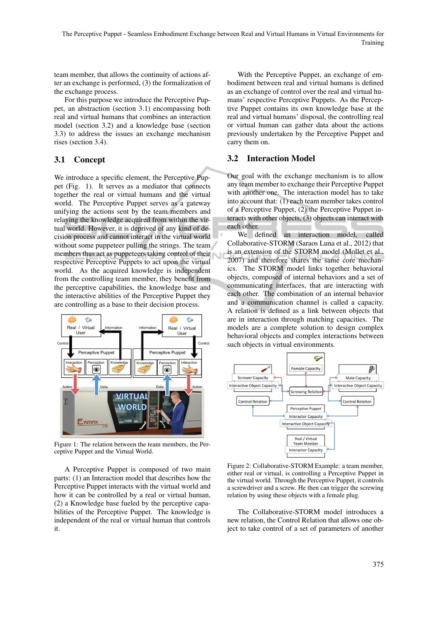team member, that allows the continuity of actions after an exchange is performed, (3) the formalization of the exchange process.

For this purpose we introduce the Perceptive Puppet, an abstraction (section 3.1) encompassing both real and virtual humans that combines an interaction model (section 3.2) and a knowledge base (section 3.3) to address the issues an exchange mechanism rises (section 3.4).

## 3.1 Concept

We introduce a specific element, the Perceptive Puppet (Fig. 1). It serves as a mediator that connects together the real or virtual humans and the virtual world. The Perceptive Puppet serves as a gateway unifying the actions sent by the team members and relaying the knowledge acquired from within the virtual world. However, it is deprived of any kind of decision process and cannot interact in the virtual world without some puppeteer pulling the strings. The team members thus act as puppeteers taking control of their respective Perceptive Puppets to act upon the virtual world. As the acquired knowledge is independent from the controlling team member, they benefit from the perceptive capabilities, the knowledge base and the interactive abilities of the Perceptive Puppet they are controlling as a base to their decision process.



Figure 1: The relation between the team members, the Perceptive Puppet and the Virtual World.

A Perceptive Puppet is composed of two main parts: (1) an Interaction model that describes how the Perceptive Puppet interacts with the virtual world and how it can be controlled by a real or virtual human, (2) a Knowledge base fueled by the perceptive capabilities of the Perceptive Puppet. The knowledge is independent of the real or virtual human that controls it.

With the Perceptive Puppet, an exchange of embodiment between real and virtual humans is defined as an exchange of control over the real and virtual humans' respective Perceptive Puppets. As the Perceptive Puppet contains its own knowledge base at the real and virtual humans' disposal, the controlling real or virtual human can gather data about the actions previously undertaken by the Perceptive Puppet and carry them on.

### 3.2 Interaction Model

Our goal with the exchange mechanism is to allow any team member to exchange their Perceptive Puppet with another one. The interaction model has to take into account that: (1) each team member takes control of a Perceptive Puppet, (2) the Perceptive Puppet interacts with other objects, (3) objects can interact with each other.

We defined an interaction model, called Collaborative-STORM (Saraos Luna et al., 2012) that is an extension of the STORM model (Mollet et al., 2007) and therefore shares the same core mechanics. The STORM model links together behavioral objects, composed of internal behaviors and a set of communicating interfaces, that are interacting with each other. The combination of an internal behavior and a communication channel is called a capacity. A relation is defined as a link between objects that are in interaction through matching capacities. The models are a complete solution to design complex behavioral objects and complex interactions between such objects in virtual environments.



Figure 2: Collaborative-STORM Example: a team member, either real or virtual, is controlling a Perceptive Puppet in the virtual world. Through the Perceptive Puppet, it controls a screwdriver and a screw. He then can trigger the screwing relation by using these objects with a female plug.

The Collaborative-STORM model introduces a new relation, the Control Relation that allows one object to take control of a set of parameters of another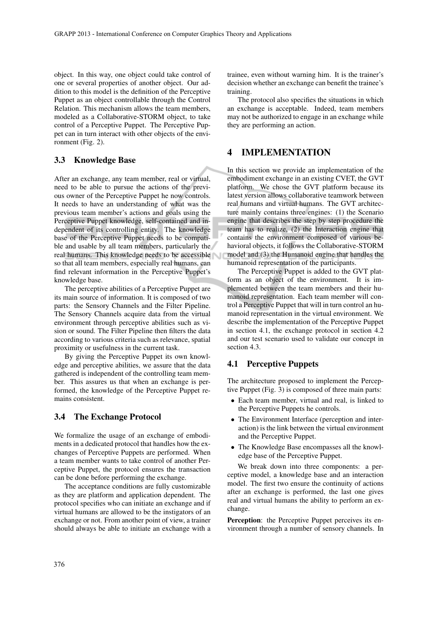object. In this way, one object could take control of one or several properties of another object. Our addition to this model is the definition of the Perceptive Puppet as an object controllable through the Control Relation. This mechanism allows the team members, modeled as a Collaborative-STORM object, to take control of a Perceptive Puppet. The Perceptive Puppet can in turn interact with other objects of the environment (Fig. 2).

#### 3.3 Knowledge Base

After an exchange, any team member, real or virtual, need to be able to pursue the actions of the previous owner of the Perceptive Puppet he now controls. It needs to have an understanding of what was the previous team member's actions and goals using the Perceptive Puppet knowledge, self-contained and independent of its controlling entity. The knowledge base of the Perceptive Puppet needs to be compatible and usable by all team members, particularly the real humans. This knowledge needs to be accessible so that all team members, especially real humans, can find relevant information in the Perceptive Puppet's knowledge base.

The perceptive abilities of a Perceptive Puppet are its main source of information. It is composed of two parts: the Sensory Channels and the Filter Pipeline. The Sensory Channels acquire data from the virtual environment through perceptive abilities such as vision or sound. The Filter Pipeline then filters the data according to various criteria such as relevance, spatial proximity or usefulness in the current task.

By giving the Perceptive Puppet its own knowledge and perceptive abilities, we assure that the data gathered is independent of the controlling team member. This assures us that when an exchange is performed, the knowledge of the Perceptive Puppet remains consistent.

#### 3.4 The Exchange Protocol

We formalize the usage of an exchange of embodiments in a dedicated protocol that handles how the exchanges of Perceptive Puppets are performed. When a team member wants to take control of another Perceptive Puppet, the protocol ensures the transaction can be done before performing the exchange.

The acceptance conditions are fully customizable as they are platform and application dependent. The protocol specifies who can initiate an exchange and if virtual humans are allowed to be the instigators of an exchange or not. From another point of view, a trainer should always be able to initiate an exchange with a trainee, even without warning him. It is the trainer's decision whether an exchange can benefit the trainee's training.

The protocol also specifies the situations in which an exchange is acceptable. Indeed, team members may not be authorized to engage in an exchange while they are performing an action.

### 4 IMPLEMENTATION

In this section we provide an implementation of the embodiment exchange in an existing CVET, the GVT platform. We chose the GVT platform because its latest version allows collaborative teamwork between real humans and virtual humans. The GVT architecture mainly contains three engines: (1) the Scenario engine that describes the step by step procedure the team has to realize, (2) the Interaction engine that contains the environment composed of various behavioral objects, it follows the Collaborative-STORM model and (3) the Humanoid engine that handles the humanoid representation of the participants.

The Perceptive Puppet is added to the GVT platform as an object of the environment. It is implemented between the team members and their humanoid representation. Each team member will control a Perceptive Puppet that will in turn control an humanoid representation in the virtual environment. We describe the implementation of the Perceptive Puppet in section 4.1, the exchange protocol in section 4.2 and our test scenario used to validate our concept in section 4.3.

#### 4.1 Perceptive Puppets

The architecture proposed to implement the Perceptive Puppet (Fig. 3) is composed of three main parts:

- Each team member, virtual and real, is linked to the Perceptive Puppets he controls.
- The Environment Interface (perception and interaction) is the link between the virtual environment and the Perceptive Puppet.
- The Knowledge Base encompasses all the knowledge base of the Perceptive Puppet.

We break down into three components: a perceptive model, a knowledge base and an interaction model. The first two ensure the continuity of actions after an exchange is performed, the last one gives real and virtual humans the ability to perform an exchange.

Perception: the Perceptive Puppet perceives its environment through a number of sensory channels. In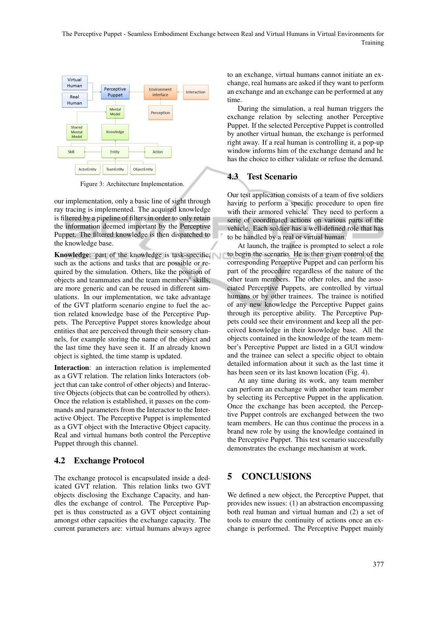The Perceptive Puppet - Seamless Embodiment Exchange between Real and Virtual Humans in Virtual Environments for Training



Figure 3: Architecture Implementation.

our implementation, only a basic line of sight through ray tracing is implemented. The acquired knowledge is filtered by a pipeline of filters in order to only retain the information deemed important by the Perceptive Puppet. The filtered knowledge is then dispatched to the knowledge base.

Knowledge: part of the knowledge is task-specific, such as the actions and tasks that are possible or required by the simulation. Others, like the position of objects and teammates and the team members' skills, are more generic and can be reused in different simulations. In our implementation, we take advantage of the GVT platform scenario engine to fuel the action related knowledge base of the Perceptive Puppets. The Perceptive Puppet stores knowledge about entities that are perceived through their sensory channels, for example storing the name of the object and the last time they have seen it. If an already known object is sighted, the time stamp is updated.

Interaction: an interaction relation is implemented as a GVT relation. The relation links Interactors (object that can take control of other objects) and Interactive Objects (objects that can be controlled by others). Once the relation is established, it passes on the commands and parameters from the Interactor to the Interactive Object. The Perceptive Puppet is implemented as a GVT object with the Interactive Object capacity. Real and virtual humans both control the Perceptive Puppet through this channel.

#### 4.2 Exchange Protocol

The exchange protocol is encapsulated inside a dedicated GVT relation. This relation links two GVT objects disclosing the Exchange Capacity, and handles the exchange of control. The Perceptive Puppet is thus constructed as a GVT object containing amongst other capacities the exchange capacity. The current parameters are: virtual humans always agree to an exchange, virtual humans cannot initiate an exchange, real humans are asked if they want to perform an exchange and an exchange can be performed at any time.

During the simulation, a real human triggers the exchange relation by selecting another Perceptive Puppet. If the selected Perceptive Puppet is controlled by another virtual human, the exchange is performed right away. If a real human is controlling it, a pop-up window informs him of the exchange demand and he has the choice to either validate or refuse the demand.

#### 4.3 Test Scenario

Our test application consists of a team of five soldiers having to perform a specific procedure to open fire with their armored vehicle. They need to perform a serie of coordinated actions on various parts of the vehicle. Each soldier has a well-defined role that has to be handled by a real or virtual human.

At launch, the trainee is prompted to select a role to begin the scenario. He is then given control of the corresponding Perceptive Puppet and can perform his part of the procedure regardless of the nature of the other team members. The other roles, and the associated Perceptive Puppets, are controlled by virtual humans or by other trainees. The trainee is notified of any new knowledge the Perceptive Puppet gains through its perceptive ability. The Perceptive Puppets could see their environment and keep all the perceived knowledge in their knowledge base. All the objects contained in the knowledge of the team member's Perceptive Puppet are listed in a GUI window and the trainee can select a specific object to obtain detailed information about it such as the last time it has been seen or its last known location (Fig. 4).

At any time during its work, any team member can perform an exchange with another team member by selecting its Perceptive Puppet in the application. Once the exchange has been accepted, the Perceptive Puppet controls are exchanged between the two team members. He can thus continue the process in a brand new role by using the knowledge contained in the Perceptive Puppet. This test scenario successfully demonstrates the exchange mechanism at work.

## 5 CONCLUSIONS

We defined a new object, the Perceptive Puppet, that provides new issues: (1) an abstraction encompassing both real human and virtual human and (2) a set of tools to ensure the continuity of actions once an exchange is performed. The Perceptive Puppet mainly